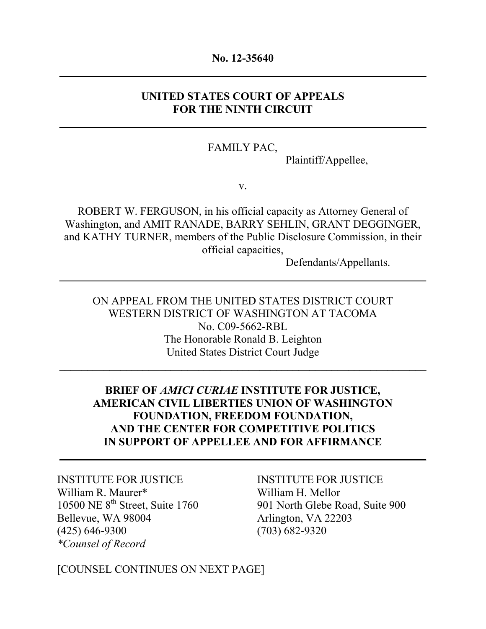#### **No. 12-35640 \_\_\_\_\_\_\_\_\_\_\_\_\_\_\_\_\_\_\_\_\_\_\_\_\_\_\_\_\_\_\_\_\_\_\_\_\_\_\_\_\_\_\_\_\_\_\_\_\_\_\_\_\_\_\_\_\_\_\_\_\_\_\_\_\_\_**

#### **UNITED STATES COURT OF APPEALS FOR THE NINTH CIRCUIT**

**\_\_\_\_\_\_\_\_\_\_\_\_\_\_\_\_\_\_\_\_\_\_\_\_\_\_\_\_\_\_\_\_\_\_\_\_\_\_\_\_\_\_\_\_\_\_\_\_\_\_\_\_\_\_\_\_\_\_\_\_\_\_\_\_\_\_**

#### FAMILY PAC,

Plaintiff/Appellee,

v.

ROBERT W. FERGUSON, in his official capacity as Attorney General of Washington, and AMIT RANADE, BARRY SEHLIN, GRANT DEGGINGER, and KATHY TURNER, members of the Public Disclosure Commission, in their official capacities,

 $\mathcal{L} = \{ \mathcal{L} \mid \mathcal{L} \in \mathcal{L} \}$  , where  $\mathcal{L} = \{ \mathcal{L} \mid \mathcal{L} \in \mathcal{L} \}$  ,  $\mathcal{L} = \{ \mathcal{L} \mid \mathcal{L} \in \mathcal{L} \}$ 

Defendants/Appellants.

ON APPEAL FROM THE UNITED STATES DISTRICT COURT WESTERN DISTRICT OF WASHINGTON AT TACOMA No. C09-5662-RBL The Honorable Ronald B. Leighton United States District Court Judge

\_\_\_\_\_\_\_\_\_\_\_\_\_\_\_\_\_\_\_\_\_\_\_\_\_\_\_\_\_\_\_\_\_\_\_\_\_\_\_\_\_\_\_\_\_\_\_\_\_\_\_\_\_\_\_\_\_\_\_\_\_\_\_\_\_\_

## **BRIEF OF** *AMICI CURIAE* **INSTITUTE FOR JUSTICE, AMERICAN CIVIL LIBERTIES UNION OF WASHINGTON FOUNDATION, FREEDOM FOUNDATION, AND THE CENTER FOR COMPETITIVE POLITICS IN SUPPORT OF APPELLEE AND FOR AFFIRMANCE**

 $\mathcal{L} = \{ \mathcal{L} \mid \mathcal{L} \in \mathcal{L} \}$  , where  $\mathcal{L} = \{ \mathcal{L} \mid \mathcal{L} \in \mathcal{L} \}$  ,  $\mathcal{L} = \{ \mathcal{L} \mid \mathcal{L} \in \mathcal{L} \}$ 

INSTITUTE FOR JUSTICE INSTITUTE FOR JUSTICE William R. Maurer\* William H. Mellor Bellevue, WA 98004 Arlington, VA 22203 (425) 646-9300 (703) 682-9320 *\*Counsel of Record*

10500 NE 8<sup>th</sup> Street, Suite 1760 901 North Glebe Road, Suite 900

[COUNSEL CONTINUES ON NEXT PAGE]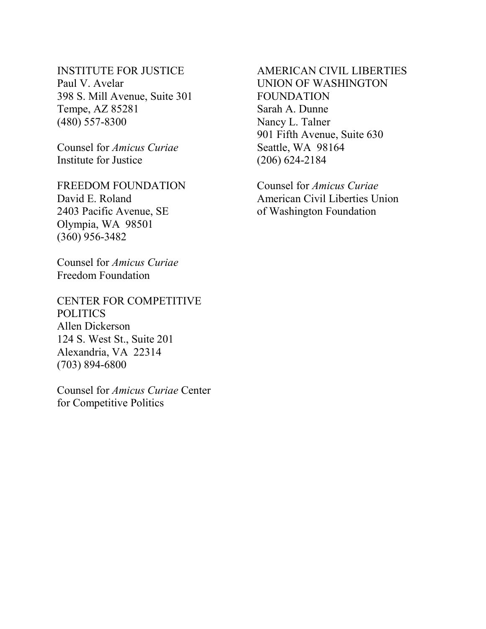# Paul V. Avelar UNION OF WASHINGTON 398 S. Mill Avenue, Suite 301 FOUNDATION Tempe, AZ 85281 Sarah A. Dunne (480) 557-8300 Nancy L. Talner

Counsel for *Amicus Curiae* Seattle, WA 98164 Institute for Justice (206) 624-2184

FREEDOM FOUNDATION Counsel for *Amicus Curiae*  2403 Pacific Avenue, SE of Washington Foundation Olympia, WA 98501 (360) 956-3482

Counsel for *Amicus Curiae*  Freedom Foundation

CENTER FOR COMPETITIVE POLITICS Allen Dickerson 124 S. West St., Suite 201 Alexandria, VA 22314 (703) 894-6800

Counsel for *Amicus Curiae* Center for Competitive Politics

# INSTITUTE FOR JUSTICE AMERICAN CIVIL LIBERTIES 901 Fifth Avenue, Suite 630

David E. Roland **American Civil Liberties Union**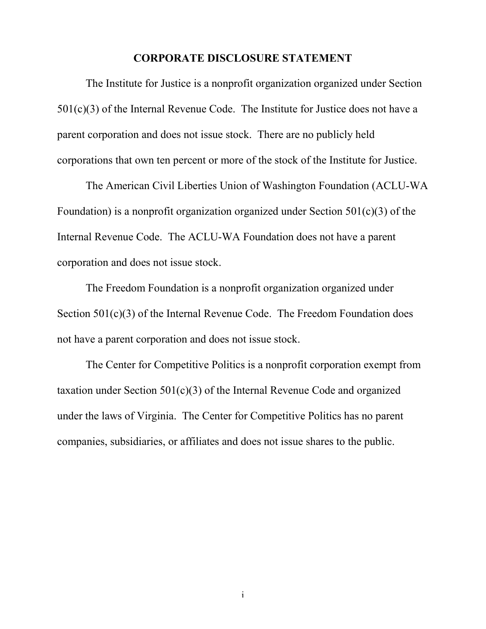#### **CORPORATE DISCLOSURE STATEMENT**

The Institute for Justice is a nonprofit organization organized under Section 501(c)(3) of the Internal Revenue Code. The Institute for Justice does not have a parent corporation and does not issue stock. There are no publicly held corporations that own ten percent or more of the stock of the Institute for Justice.

The American Civil Liberties Union of Washington Foundation (ACLU-WA Foundation) is a nonprofit organization organized under Section 501(c)(3) of the Internal Revenue Code. The ACLU-WA Foundation does not have a parent corporation and does not issue stock.

The Freedom Foundation is a nonprofit organization organized under Section 501(c)(3) of the Internal Revenue Code. The Freedom Foundation does not have a parent corporation and does not issue stock.

The Center for Competitive Politics is a nonprofit corporation exempt from taxation under Section  $501(c)(3)$  of the Internal Revenue Code and organized under the laws of Virginia. The Center for Competitive Politics has no parent companies, subsidiaries, or affiliates and does not issue shares to the public.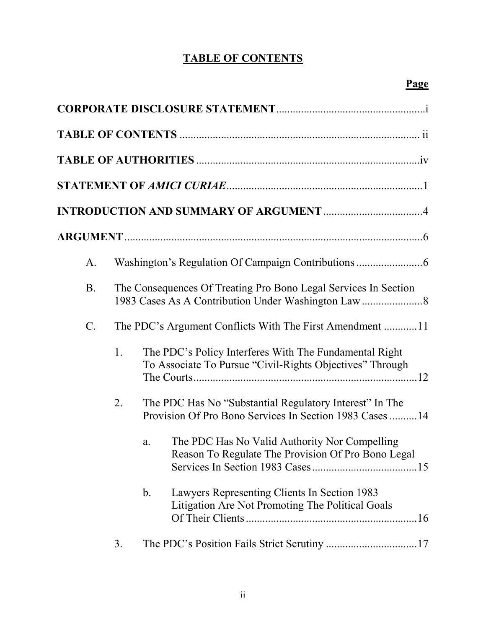# **TABLE OF CONTENTS**

| $\mathbf{A}$ . |    |                                                                                                                     |
|----------------|----|---------------------------------------------------------------------------------------------------------------------|
| <b>B.</b>      |    | The Consequences Of Treating Pro Bono Legal Services In Section                                                     |
| $C$ .          |    |                                                                                                                     |
|                | 1. | The PDC's Policy Interferes With The Fundamental Right<br>To Associate To Pursue "Civil-Rights Objectives" Through  |
|                | 2. | The PDC Has No "Substantial Regulatory Interest" In The<br>Provision Of Pro Bono Services In Section 1983 Cases  14 |
|                |    | The PDC Has No Valid Authority Nor Compelling<br>a.<br>Reason To Regulate The Provision Of Pro Bono Legal           |
|                |    | Lawyers Representing Clients In Section 1983<br>$\mathbf b$ .<br>Litigation Are Not Promoting The Political Goals   |
|                | 3. |                                                                                                                     |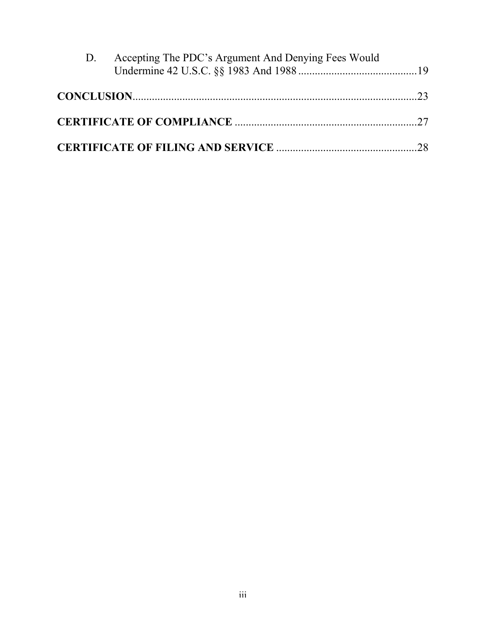| D. | Accepting The PDC's Argument And Denying Fees Would |  |
|----|-----------------------------------------------------|--|
|    |                                                     |  |
|    |                                                     |  |
|    |                                                     |  |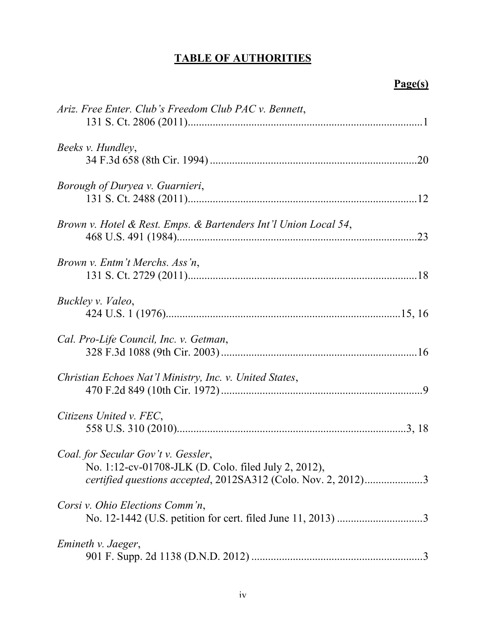# **TABLE OF AUTHORITIES**

# **Page(s)**

| Ariz. Free Enter. Club's Freedom Club PAC v. Bennett,                                                                                                        |     |
|--------------------------------------------------------------------------------------------------------------------------------------------------------------|-----|
| Beeks v. Hundley,                                                                                                                                            |     |
| Borough of Duryea v. Guarnieri,                                                                                                                              |     |
| Brown v. Hotel & Rest. Emps. & Bartenders Int'l Union Local 54,                                                                                              | .23 |
| Brown v. Entm't Merchs. Ass'n,                                                                                                                               |     |
| Buckley v. Valeo,                                                                                                                                            |     |
| Cal. Pro-Life Council, Inc. v. Getman,                                                                                                                       |     |
| Christian Echoes Nat'l Ministry, Inc. v. United States,                                                                                                      |     |
| Citizens United v. FEC,                                                                                                                                      |     |
| Coal. for Secular Gov't v. Gessler,<br>No. 1:12-cv-01708-JLK (D. Colo. filed July 2, 2012),<br>certified questions accepted, 2012SA312 (Colo. Nov. 2, 2012)3 |     |
| Corsi v. Ohio Elections Comm'n,                                                                                                                              |     |
| Emineth v. Jaeger,                                                                                                                                           |     |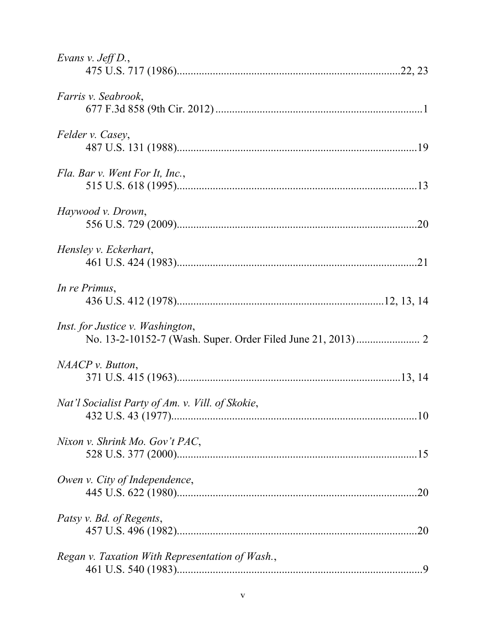| Evans v. Jeff D.,                                |     |
|--------------------------------------------------|-----|
| <i>Farris v. Seabrook,</i>                       |     |
| Felder v. Casey,                                 |     |
| Fla. Bar v. Went For It, Inc.,                   |     |
| Haywood v. Drown,                                |     |
| Hensley v. Eckerhart,                            |     |
| In re Primus,                                    |     |
| Inst. for Justice v. Washington,                 |     |
| NAACP v. Button,                                 |     |
| Nat'l Socialist Party of Am. v. Vill. of Skokie, |     |
| Nixon v. Shrink Mo. Gov't PAC,                   |     |
| Owen v. City of Independence,                    |     |
| Patsy v. Bd. of Regents,                         | .20 |
| Regan v. Taxation With Representation of Wash.,  |     |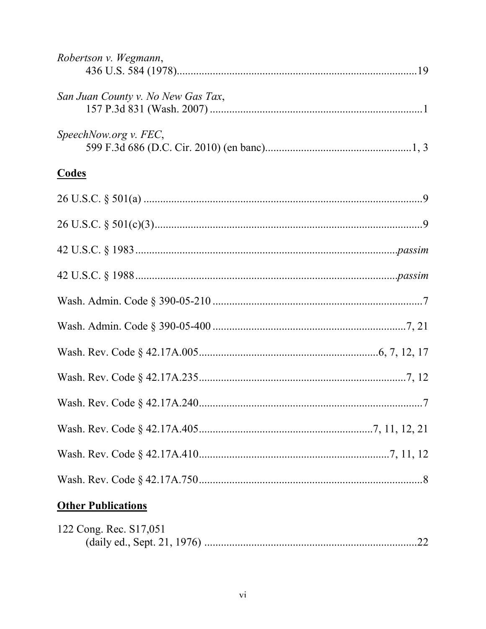| Robertson v. Wegmann,                                                              |  |
|------------------------------------------------------------------------------------|--|
| San Juan County v. No New Gas Tax,                                                 |  |
| SpeechNow.org v. FEC,                                                              |  |
| <b>Codes</b>                                                                       |  |
|                                                                                    |  |
|                                                                                    |  |
|                                                                                    |  |
|                                                                                    |  |
|                                                                                    |  |
|                                                                                    |  |
|                                                                                    |  |
|                                                                                    |  |
|                                                                                    |  |
|                                                                                    |  |
|                                                                                    |  |
|                                                                                    |  |
| <b>Other Publications</b><br>$\alpha$ $\alpha$ $\alpha$ $\alpha$ $\alpha$ $\alpha$ |  |

| 122 Cong. Rec. S17,051 |  |
|------------------------|--|
|                        |  |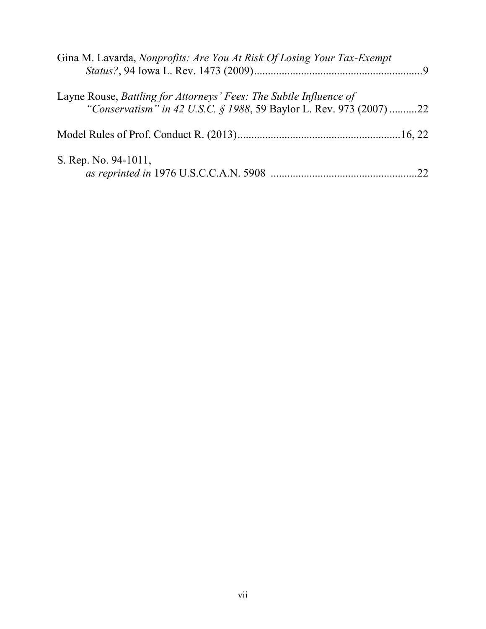| Gina M. Lavarda, Nonprofits: Are You At Risk Of Losing Your Tax-Exempt |    |
|------------------------------------------------------------------------|----|
| Layne Rouse, Battling for Attorneys' Fees: The Subtle Influence of     |    |
| "Conservatism" in 42 U.S.C. § 1988, 59 Baylor L. Rev. 973 (2007) 22    |    |
|                                                                        |    |
| S. Rep. No. 94-1011,                                                   | 22 |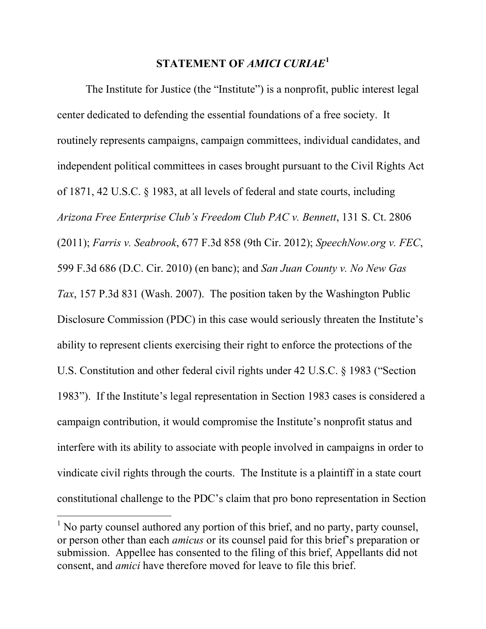## **STATEMENT OF** *AMICI CURIAE***<sup>1</sup>**

The Institute for Justice (the "Institute") is a nonprofit, public interest legal center dedicated to defending the essential foundations of a free society. It routinely represents campaigns, campaign committees, individual candidates, and independent political committees in cases brought pursuant to the Civil Rights Act of 1871, 42 U.S.C. § 1983, at all levels of federal and state courts, including *Arizona Free Enterprise Club's Freedom Club PAC v. Bennett*, 131 S. Ct. 2806 (2011); *Farris v. Seabrook*, 677 F.3d 858 (9th Cir. 2012); *SpeechNow.org v. FEC*, 599 F.3d 686 (D.C. Cir. 2010) (en banc); and *San Juan County v. No New Gas Tax*, 157 P.3d 831 (Wash. 2007). The position taken by the Washington Public Disclosure Commission (PDC) in this case would seriously threaten the Institute's ability to represent clients exercising their right to enforce the protections of the U.S. Constitution and other federal civil rights under 42 U.S.C. § 1983 ("Section 1983"). If the Institute's legal representation in Section 1983 cases is considered a campaign contribution, it would compromise the Institute's nonprofit status and interfere with its ability to associate with people involved in campaigns in order to vindicate civil rights through the courts. The Institute is a plaintiff in a state court constitutional challenge to the PDC's claim that pro bono representation in Section

 $<sup>1</sup>$  No party counsel authored any portion of this brief, and no party, party counsel,</sup> or person other than each *amicus* or its counsel paid for this brief's preparation or submission. Appellee has consented to the filing of this brief, Appellants did not consent, and *amici* have therefore moved for leave to file this brief.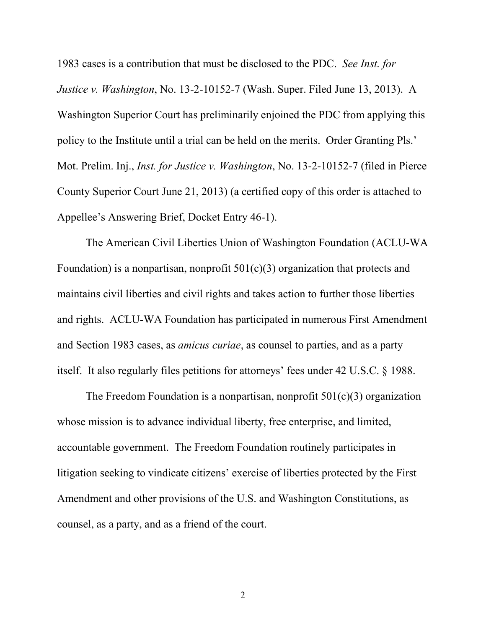1983 cases is a contribution that must be disclosed to the PDC. *See Inst. for Justice v. Washington*, No. 13-2-10152-7 (Wash. Super. Filed June 13, 2013). A Washington Superior Court has preliminarily enjoined the PDC from applying this policy to the Institute until a trial can be held on the merits. Order Granting Pls.' Mot. Prelim. Inj., *Inst. for Justice v. Washington*, No. 13-2-10152-7 (filed in Pierce County Superior Court June 21, 2013) (a certified copy of this order is attached to Appellee's Answering Brief, Docket Entry 46-1).

The American Civil Liberties Union of Washington Foundation (ACLU-WA Foundation) is a nonpartisan, nonprofit  $501(c)(3)$  organization that protects and maintains civil liberties and civil rights and takes action to further those liberties and rights. ACLU-WA Foundation has participated in numerous First Amendment and Section 1983 cases, as *amicus curiae*, as counsel to parties, and as a party itself. It also regularly files petitions for attorneys' fees under 42 U.S.C. § 1988.

The Freedom Foundation is a nonpartisan, nonprofit  $501(c)(3)$  organization whose mission is to advance individual liberty, free enterprise, and limited, accountable government. The Freedom Foundation routinely participates in litigation seeking to vindicate citizens' exercise of liberties protected by the First Amendment and other provisions of the U.S. and Washington Constitutions, as counsel, as a party, and as a friend of the court.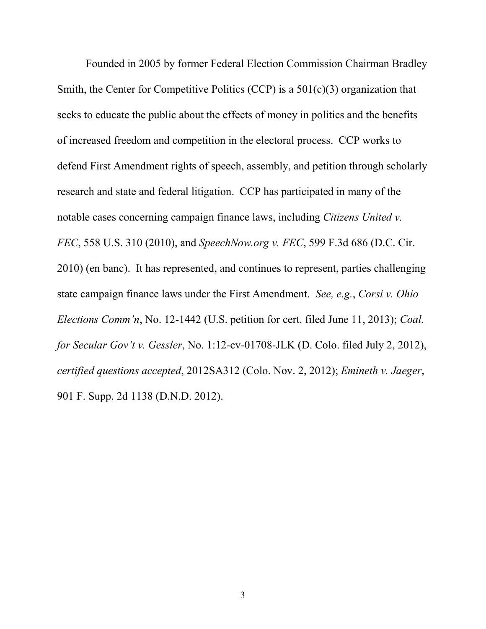Founded in 2005 by former Federal Election Commission Chairman Bradley Smith, the Center for Competitive Politics (CCP) is a 501(c)(3) organization that seeks to educate the public about the effects of money in politics and the benefits of increased freedom and competition in the electoral process. CCP works to defend First Amendment rights of speech, assembly, and petition through scholarly research and state and federal litigation. CCP has participated in many of the notable cases concerning campaign finance laws, including *Citizens United v. FEC*, 558 U.S. 310 (2010), and *SpeechNow.org v. FEC*, 599 F.3d 686 (D.C. Cir. 2010) (en banc). It has represented, and continues to represent, parties challenging state campaign finance laws under the First Amendment. *See, e.g.*, *Corsi v. Ohio Elections Comm'n*, No. 12-1442 (U.S. petition for cert. filed June 11, 2013); *Coal. for Secular Gov't v. Gessler*, No. 1:12-cv-01708-JLK (D. Colo. filed July 2, 2012), *certified questions accepted*, 2012SA312 (Colo. Nov. 2, 2012); *Emineth v. Jaeger*, 901 F. Supp. 2d 1138 (D.N.D. 2012).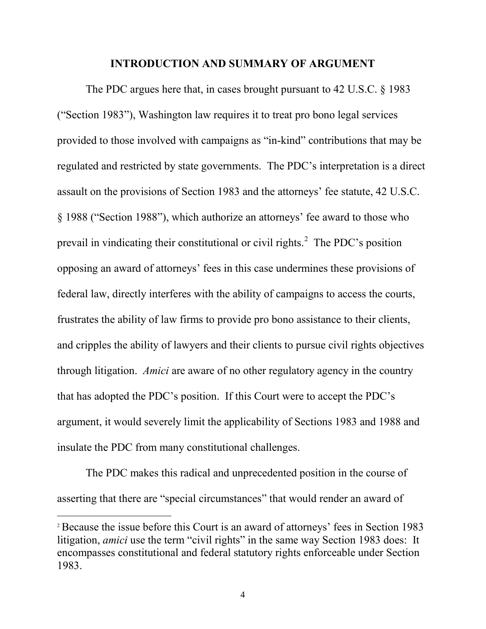#### **INTRODUCTION AND SUMMARY OF ARGUMENT**

The PDC argues here that, in cases brought pursuant to 42 U.S.C. § 1983 ("Section 1983"), Washington law requires it to treat pro bono legal services provided to those involved with campaigns as "in-kind" contributions that may be regulated and restricted by state governments. The PDC's interpretation is a direct assault on the provisions of Section 1983 and the attorneys' fee statute, 42 U.S.C. § 1988 ("Section 1988"), which authorize an attorneys' fee award to those who prevail in vindicating their constitutional or civil rights. 2 The PDC's position opposing an award of attorneys' fees in this case undermines these provisions of federal law, directly interferes with the ability of campaigns to access the courts, frustrates the ability of law firms to provide pro bono assistance to their clients, and cripples the ability of lawyers and their clients to pursue civil rights objectives through litigation. *Amici* are aware of no other regulatory agency in the country that has adopted the PDC's position. If this Court were to accept the PDC's argument, it would severely limit the applicability of Sections 1983 and 1988 and insulate the PDC from many constitutional challenges.

The PDC makes this radical and unprecedented position in the course of asserting that there are "special circumstances" that would render an award of

<sup>2</sup> Because the issue before this Court is an award of attorneys' fees in Section 1983 litigation, *amici* use the term "civil rights" in the same way Section 1983 does: It encompasses constitutional and federal statutory rights enforceable under Section 1983.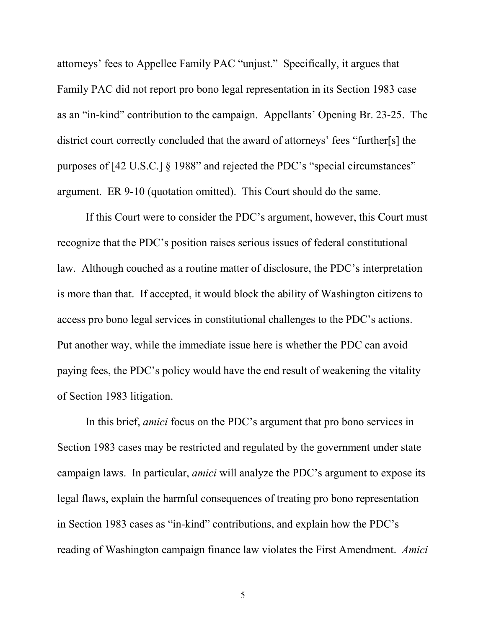attorneys' fees to Appellee Family PAC "unjust." Specifically, it argues that Family PAC did not report pro bono legal representation in its Section 1983 case as an "in-kind" contribution to the campaign. Appellants' Opening Br. 23-25. The district court correctly concluded that the award of attorneys' fees "further[s] the purposes of [42 U.S.C.] § 1988" and rejected the PDC's "special circumstances" argument. ER 9-10 (quotation omitted). This Court should do the same.

If this Court were to consider the PDC's argument, however, this Court must recognize that the PDC's position raises serious issues of federal constitutional law. Although couched as a routine matter of disclosure, the PDC's interpretation is more than that. If accepted, it would block the ability of Washington citizens to access pro bono legal services in constitutional challenges to the PDC's actions. Put another way, while the immediate issue here is whether the PDC can avoid paying fees, the PDC's policy would have the end result of weakening the vitality of Section 1983 litigation.

In this brief, *amici* focus on the PDC's argument that pro bono services in Section 1983 cases may be restricted and regulated by the government under state campaign laws. In particular, *amici* will analyze the PDC's argument to expose its legal flaws, explain the harmful consequences of treating pro bono representation in Section 1983 cases as "in-kind" contributions, and explain how the PDC's reading of Washington campaign finance law violates the First Amendment. *Amici*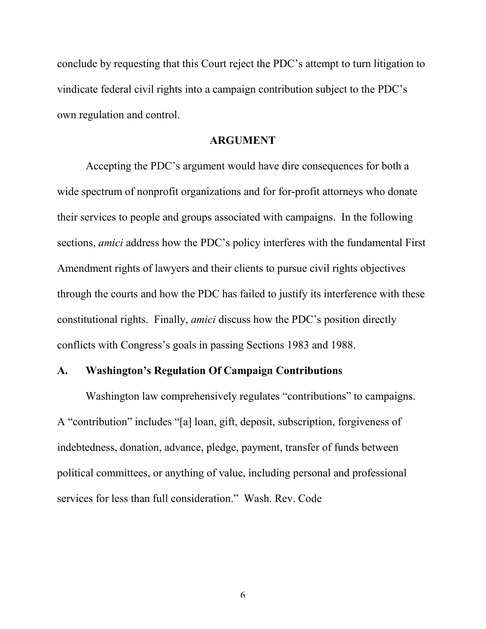conclude by requesting that this Court reject the PDC's attempt to turn litigation to vindicate federal civil rights into a campaign contribution subject to the PDC's own regulation and control.

#### **ARGUMENT**

Accepting the PDC's argument would have dire consequences for both a wide spectrum of nonprofit organizations and for for-profit attorneys who donate their services to people and groups associated with campaigns. In the following sections, *amici* address how the PDC's policy interferes with the fundamental First Amendment rights of lawyers and their clients to pursue civil rights objectives through the courts and how the PDC has failed to justify its interference with these constitutional rights. Finally, *amici* discuss how the PDC's position directly conflicts with Congress's goals in passing Sections 1983 and 1988.

#### **A. Washington's Regulation Of Campaign Contributions**

Washington law comprehensively regulates "contributions" to campaigns. A "contribution" includes "[a] loan, gift, deposit, subscription, forgiveness of indebtedness, donation, advance, pledge, payment, transfer of funds between political committees, or anything of value, including personal and professional services for less than full consideration." Wash. Rev. Code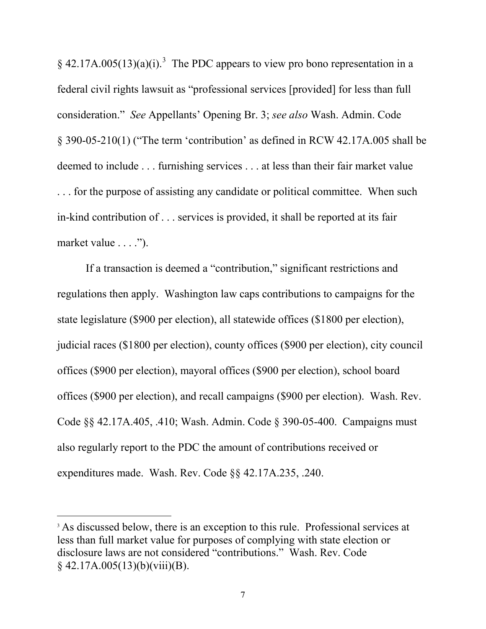$\S$  42.17A.005(13)(a)(i).<sup>3</sup> The PDC appears to view pro bono representation in a federal civil rights lawsuit as "professional services [provided] for less than full consideration." *See* Appellants' Opening Br. 3; *see also* Wash. Admin. Code § 390-05-210(1) ("The term 'contribution' as defined in RCW 42.17A.005 shall be deemed to include . . . furnishing services . . . at less than their fair market value . . . for the purpose of assisting any candidate or political committee. When such in-kind contribution of . . . services is provided, it shall be reported at its fair market value . . . .").

If a transaction is deemed a "contribution," significant restrictions and regulations then apply. Washington law caps contributions to campaigns for the state legislature (\$900 per election), all statewide offices (\$1800 per election), judicial races (\$1800 per election), county offices (\$900 per election), city council offices (\$900 per election), mayoral offices (\$900 per election), school board offices (\$900 per election), and recall campaigns (\$900 per election). Wash. Rev. Code §§ 42.17A.405, .410; Wash. Admin. Code § 390-05-400. Campaigns must also regularly report to the PDC the amount of contributions received or expenditures made. Wash. Rev. Code §§ 42.17A.235, .240.

<sup>&</sup>lt;sup>3</sup> As discussed below, there is an exception to this rule. Professional services at less than full market value for purposes of complying with state election or disclosure laws are not considered "contributions." Wash. Rev. Code  $§$  42.17A.005(13)(b)(viii)(B).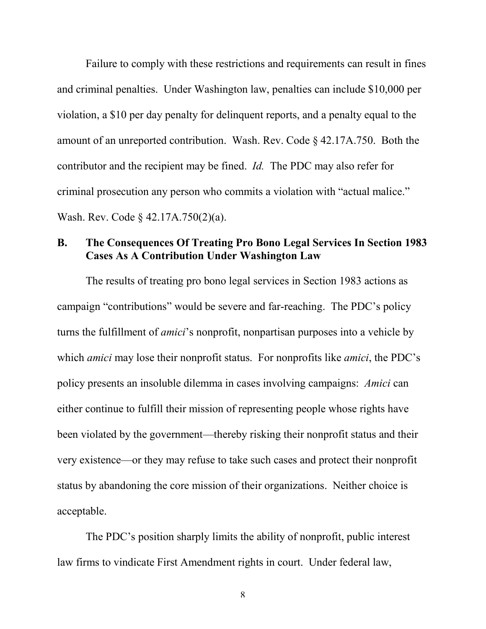Failure to comply with these restrictions and requirements can result in fines and criminal penalties. Under Washington law, penalties can include \$10,000 per violation, a \$10 per day penalty for delinquent reports, and a penalty equal to the amount of an unreported contribution. Wash. Rev. Code § 42.17A.750. Both the contributor and the recipient may be fined. *Id.* The PDC may also refer for criminal prosecution any person who commits a violation with "actual malice." Wash. Rev. Code § 42.17A.750(2)(a).

## **B. The Consequences Of Treating Pro Bono Legal Services In Section 1983 Cases As A Contribution Under Washington Law**

The results of treating pro bono legal services in Section 1983 actions as campaign "contributions" would be severe and far-reaching. The PDC's policy turns the fulfillment of *amici*'s nonprofit, nonpartisan purposes into a vehicle by which *amici* may lose their nonprofit status. For nonprofits like *amici*, the PDC's policy presents an insoluble dilemma in cases involving campaigns: *Amici* can either continue to fulfill their mission of representing people whose rights have been violated by the government—thereby risking their nonprofit status and their very existence—or they may refuse to take such cases and protect their nonprofit status by abandoning the core mission of their organizations. Neither choice is acceptable.

The PDC's position sharply limits the ability of nonprofit, public interest law firms to vindicate First Amendment rights in court. Under federal law,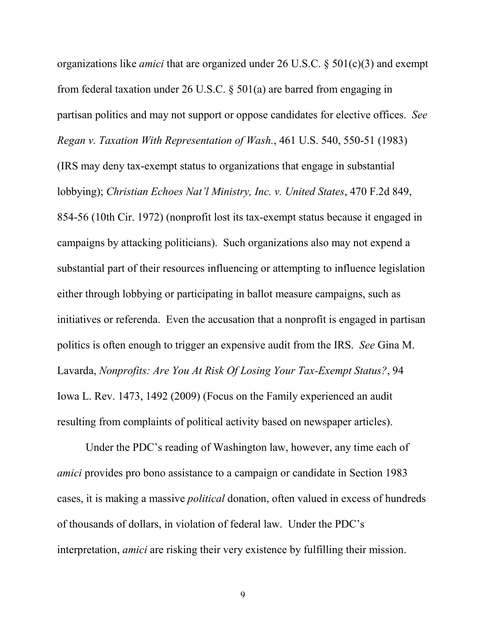organizations like *amici* that are organized under 26 U.S.C. § 501(c)(3) and exempt from federal taxation under 26 U.S.C. § 501(a) are barred from engaging in partisan politics and may not support or oppose candidates for elective offices. *See Regan v. Taxation With Representation of Wash.*, 461 U.S. 540, 550-51 (1983) (IRS may deny tax-exempt status to organizations that engage in substantial lobbying); *Christian Echoes Nat'l Ministry, Inc. v. United States*, 470 F.2d 849, 854-56 (10th Cir. 1972) (nonprofit lost its tax-exempt status because it engaged in campaigns by attacking politicians). Such organizations also may not expend a substantial part of their resources influencing or attempting to influence legislation either through lobbying or participating in ballot measure campaigns, such as initiatives or referenda. Even the accusation that a nonprofit is engaged in partisan politics is often enough to trigger an expensive audit from the IRS. *See* Gina M. Lavarda, *Nonprofits: Are You At Risk Of Losing Your Tax-Exempt Status?*, 94 Iowa L. Rev. 1473, 1492 (2009) (Focus on the Family experienced an audit resulting from complaints of political activity based on newspaper articles).

Under the PDC's reading of Washington law, however, any time each of *amici* provides pro bono assistance to a campaign or candidate in Section 1983 cases, it is making a massive *political* donation, often valued in excess of hundreds of thousands of dollars, in violation of federal law. Under the PDC's interpretation, *amici* are risking their very existence by fulfilling their mission.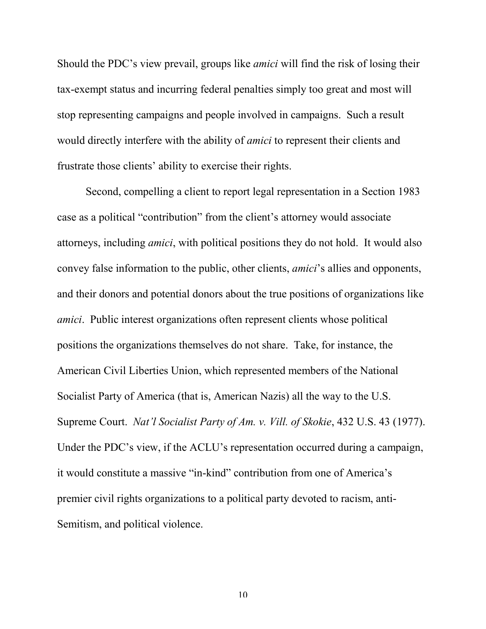Should the PDC's view prevail, groups like *amici* will find the risk of losing their tax-exempt status and incurring federal penalties simply too great and most will stop representing campaigns and people involved in campaigns. Such a result would directly interfere with the ability of *amici* to represent their clients and frustrate those clients' ability to exercise their rights.

Second, compelling a client to report legal representation in a Section 1983 case as a political "contribution" from the client's attorney would associate attorneys, including *amici*, with political positions they do not hold. It would also convey false information to the public, other clients, *amici*'s allies and opponents, and their donors and potential donors about the true positions of organizations like *amici*. Public interest organizations often represent clients whose political positions the organizations themselves do not share. Take, for instance, the American Civil Liberties Union, which represented members of the National Socialist Party of America (that is, American Nazis) all the way to the U.S. Supreme Court. *Nat'l Socialist Party of Am. v. Vill. of Skokie*, 432 U.S. 43 (1977). Under the PDC's view, if the ACLU's representation occurred during a campaign, it would constitute a massive "in-kind" contribution from one of America's premier civil rights organizations to a political party devoted to racism, anti-Semitism, and political violence.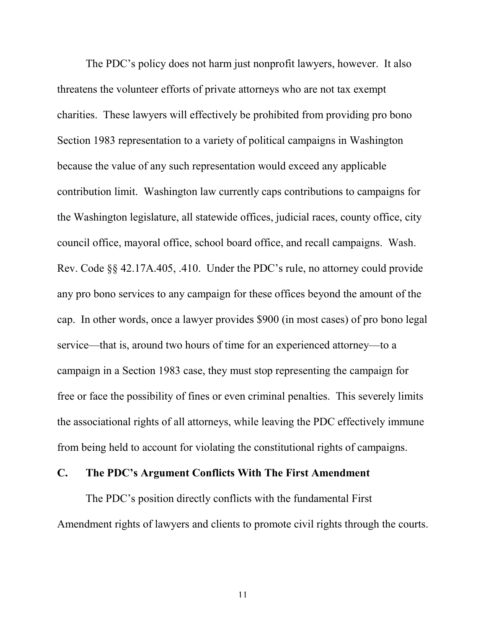The PDC's policy does not harm just nonprofit lawyers, however. It also threatens the volunteer efforts of private attorneys who are not tax exempt charities. These lawyers will effectively be prohibited from providing pro bono Section 1983 representation to a variety of political campaigns in Washington because the value of any such representation would exceed any applicable contribution limit. Washington law currently caps contributions to campaigns for the Washington legislature, all statewide offices, judicial races, county office, city council office, mayoral office, school board office, and recall campaigns. Wash. Rev. Code §§ 42.17A.405, .410. Under the PDC's rule, no attorney could provide any pro bono services to any campaign for these offices beyond the amount of the cap. In other words, once a lawyer provides \$900 (in most cases) of pro bono legal service—that is, around two hours of time for an experienced attorney—to a campaign in a Section 1983 case, they must stop representing the campaign for free or face the possibility of fines or even criminal penalties. This severely limits the associational rights of all attorneys, while leaving the PDC effectively immune from being held to account for violating the constitutional rights of campaigns.

#### **C. The PDC's Argument Conflicts With The First Amendment**

The PDC's position directly conflicts with the fundamental First Amendment rights of lawyers and clients to promote civil rights through the courts.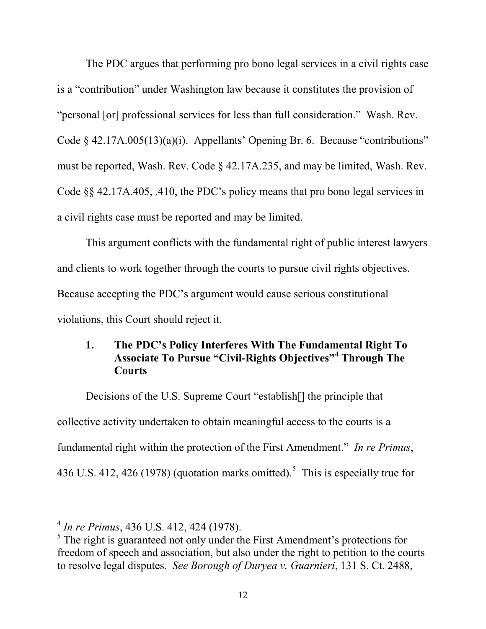The PDC argues that performing pro bono legal services in a civil rights case is a "contribution" under Washington law because it constitutes the provision of "personal [or] professional services for less than full consideration." Wash. Rev. Code § 42.17A.005(13)(a)(i). Appellants' Opening Br. 6. Because "contributions" must be reported, Wash. Rev. Code § 42.17A.235, and may be limited, Wash. Rev. Code §§ 42.17A.405, .410, the PDC's policy means that pro bono legal services in a civil rights case must be reported and may be limited.

This argument conflicts with the fundamental right of public interest lawyers and clients to work together through the courts to pursue civil rights objectives. Because accepting the PDC's argument would cause serious constitutional violations, this Court should reject it.

## **1. The PDC's Policy Interferes With The Fundamental Right To Associate To Pursue "Civil-Rights Objectives"<sup>4</sup> Through The Courts**

Decisions of the U.S. Supreme Court "establish[] the principle that collective activity undertaken to obtain meaningful access to the courts is a fundamental right within the protection of the First Amendment." *In re Primus*, 436 U.S. 412, 426 (1978) (quotation marks omitted).<sup>5</sup> This is especially true for

<sup>4</sup> *In re Primus*, 436 U.S. 412, 424 (1978).

<sup>&</sup>lt;sup>5</sup> The right is guaranteed not only under the First Amendment's protections for freedom of speech and association, but also under the right to petition to the courts to resolve legal disputes. *See Borough of Duryea v. Guarnieri*, 131 S. Ct. 2488,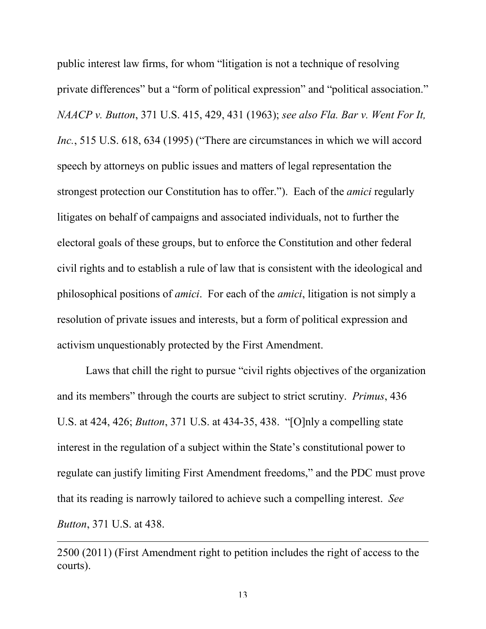public interest law firms, for whom "litigation is not a technique of resolving private differences" but a "form of political expression" and "political association." *NAACP v. Button*, 371 U.S. 415, 429, 431 (1963); *see also Fla. Bar v. Went For It, Inc.*, 515 U.S. 618, 634 (1995) ("There are circumstances in which we will accord speech by attorneys on public issues and matters of legal representation the strongest protection our Constitution has to offer."). Each of the *amici* regularly litigates on behalf of campaigns and associated individuals, not to further the electoral goals of these groups, but to enforce the Constitution and other federal civil rights and to establish a rule of law that is consistent with the ideological and philosophical positions of *amici*. For each of the *amici*, litigation is not simply a resolution of private issues and interests, but a form of political expression and activism unquestionably protected by the First Amendment.

Laws that chill the right to pursue "civil rights objectives of the organization and its members" through the courts are subject to strict scrutiny. *Primus*, 436 U.S. at 424, 426; *Button*, 371 U.S. at 434-35, 438. "[O]nly a compelling state interest in the regulation of a subject within the State's constitutional power to regulate can justify limiting First Amendment freedoms," and the PDC must prove that its reading is narrowly tailored to achieve such a compelling interest. *See Button*, 371 U.S. at 438.

<sup>2500 (2011) (</sup>First Amendment right to petition includes the right of access to the courts).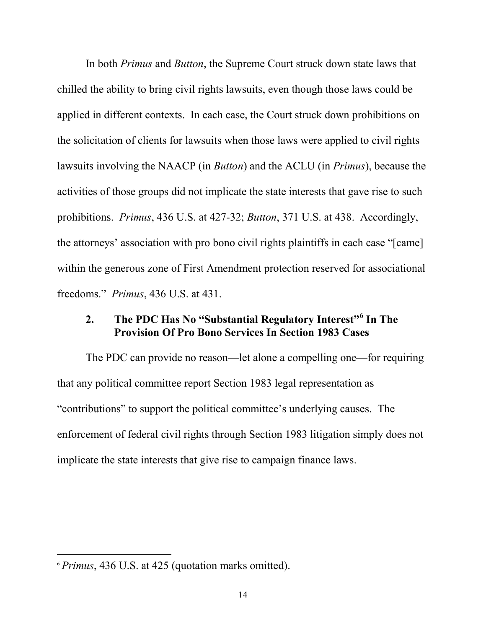In both *Primus* and *Button*, the Supreme Court struck down state laws that chilled the ability to bring civil rights lawsuits, even though those laws could be applied in different contexts. In each case, the Court struck down prohibitions on the solicitation of clients for lawsuits when those laws were applied to civil rights lawsuits involving the NAACP (in *Button*) and the ACLU (in *Primus*), because the activities of those groups did not implicate the state interests that gave rise to such prohibitions. *Primus*, 436 U.S. at 427-32; *Button*, 371 U.S. at 438. Accordingly, the attorneys' association with pro bono civil rights plaintiffs in each case "[came] within the generous zone of First Amendment protection reserved for associational freedoms." *Primus*, 436 U.S. at 431.

# **2. The PDC Has No "Substantial Regulatory Interest"<sup>6</sup> In The Provision Of Pro Bono Services In Section 1983 Cases**

The PDC can provide no reason—let alone a compelling one—for requiring that any political committee report Section 1983 legal representation as "contributions" to support the political committee's underlying causes. The enforcement of federal civil rights through Section 1983 litigation simply does not implicate the state interests that give rise to campaign finance laws.

<sup>6</sup> *Primus*, 436 U.S. at 425 (quotation marks omitted).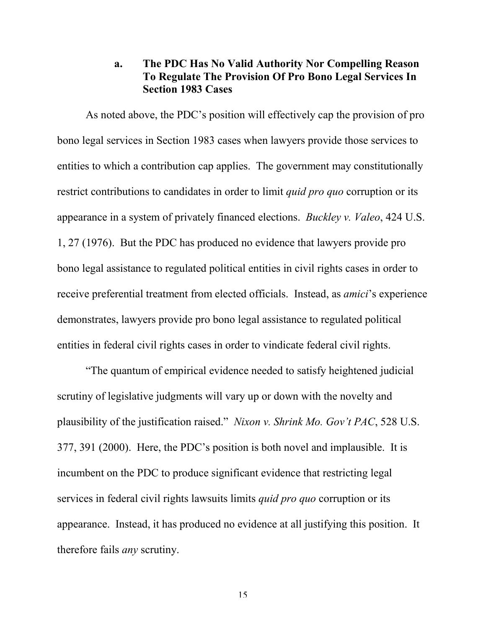#### **a. The PDC Has No Valid Authority Nor Compelling Reason To Regulate The Provision Of Pro Bono Legal Services In Section 1983 Cases**

As noted above, the PDC's position will effectively cap the provision of pro bono legal services in Section 1983 cases when lawyers provide those services to entities to which a contribution cap applies. The government may constitutionally restrict contributions to candidates in order to limit *quid pro quo* corruption or its appearance in a system of privately financed elections. *Buckley v. Valeo*, 424 U.S. 1, 27 (1976). But the PDC has produced no evidence that lawyers provide pro bono legal assistance to regulated political entities in civil rights cases in order to receive preferential treatment from elected officials. Instead, as *amici*'s experience demonstrates, lawyers provide pro bono legal assistance to regulated political entities in federal civil rights cases in order to vindicate federal civil rights.

"The quantum of empirical evidence needed to satisfy heightened judicial scrutiny of legislative judgments will vary up or down with the novelty and plausibility of the justification raised." *Nixon v. Shrink Mo. Gov't PAC*, 528 U.S. 377, 391 (2000). Here, the PDC's position is both novel and implausible. It is incumbent on the PDC to produce significant evidence that restricting legal services in federal civil rights lawsuits limits *quid pro quo* corruption or its appearance. Instead, it has produced no evidence at all justifying this position. It therefore fails *any* scrutiny.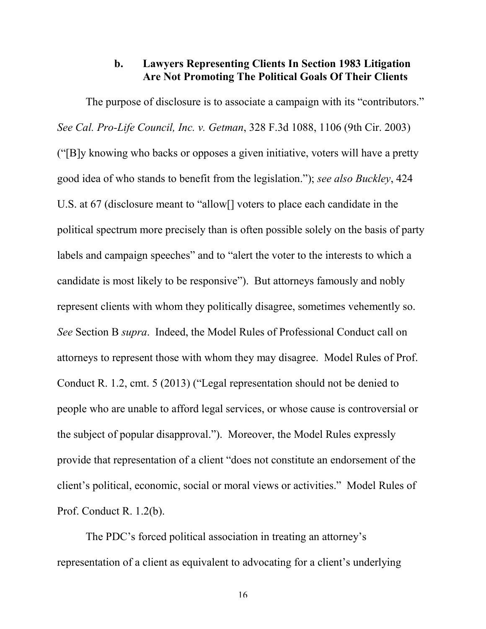## **b. Lawyers Representing Clients In Section 1983 Litigation Are Not Promoting The Political Goals Of Their Clients**

The purpose of disclosure is to associate a campaign with its "contributors." *See Cal. Pro-Life Council, Inc. v. Getman*, 328 F.3d 1088, 1106 (9th Cir. 2003) ("[B]y knowing who backs or opposes a given initiative, voters will have a pretty good idea of who stands to benefit from the legislation."); *see also Buckley*, 424 U.S. at 67 (disclosure meant to "allow[] voters to place each candidate in the political spectrum more precisely than is often possible solely on the basis of party labels and campaign speeches" and to "alert the voter to the interests to which a candidate is most likely to be responsive"). But attorneys famously and nobly represent clients with whom they politically disagree, sometimes vehemently so. *See* Section B *supra*. Indeed, the Model Rules of Professional Conduct call on attorneys to represent those with whom they may disagree. Model Rules of Prof. Conduct R. 1.2, cmt. 5 (2013) ("Legal representation should not be denied to people who are unable to afford legal services, or whose cause is controversial or the subject of popular disapproval."). Moreover, the Model Rules expressly provide that representation of a client "does not constitute an endorsement of the client's political, economic, social or moral views or activities." Model Rules of Prof. Conduct R. 1.2(b).

The PDC's forced political association in treating an attorney's representation of a client as equivalent to advocating for a client's underlying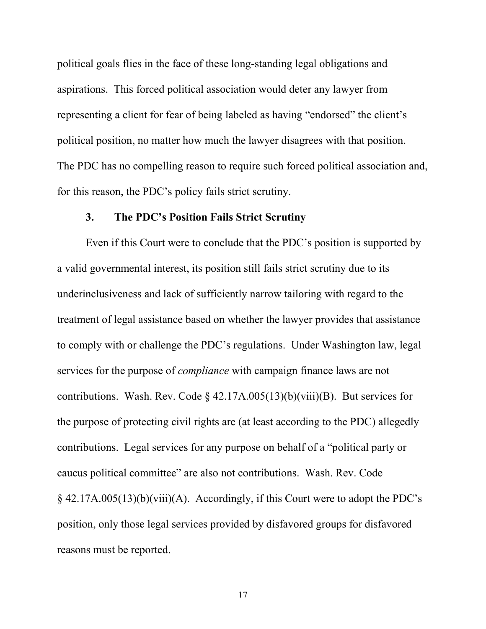political goals flies in the face of these long-standing legal obligations and aspirations. This forced political association would deter any lawyer from representing a client for fear of being labeled as having "endorsed" the client's political position, no matter how much the lawyer disagrees with that position. The PDC has no compelling reason to require such forced political association and, for this reason, the PDC's policy fails strict scrutiny.

#### **3. The PDC's Position Fails Strict Scrutiny**

Even if this Court were to conclude that the PDC's position is supported by a valid governmental interest, its position still fails strict scrutiny due to its underinclusiveness and lack of sufficiently narrow tailoring with regard to the treatment of legal assistance based on whether the lawyer provides that assistance to comply with or challenge the PDC's regulations. Under Washington law, legal services for the purpose of *compliance* with campaign finance laws are not contributions. Wash. Rev. Code § 42.17A.005(13)(b)(viii)(B). But services for the purpose of protecting civil rights are (at least according to the PDC) allegedly contributions. Legal services for any purpose on behalf of a "political party or caucus political committee" are also not contributions. Wash. Rev. Code § 42.17A.005(13)(b)(viii)(A). Accordingly, if this Court were to adopt the PDC's position, only those legal services provided by disfavored groups for disfavored reasons must be reported.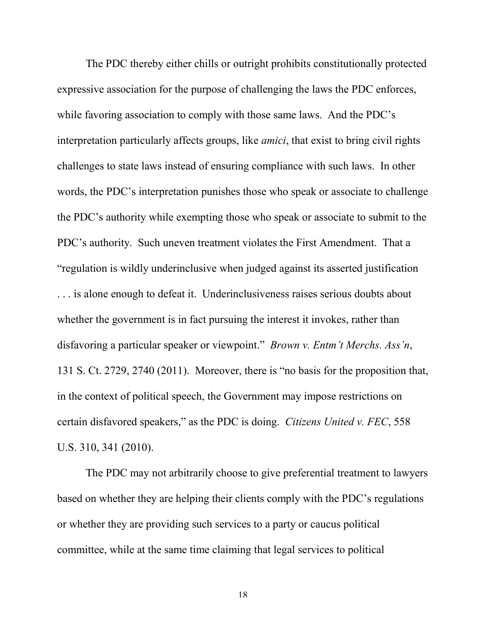The PDC thereby either chills or outright prohibits constitutionally protected expressive association for the purpose of challenging the laws the PDC enforces, while favoring association to comply with those same laws. And the PDC's interpretation particularly affects groups, like *amici*, that exist to bring civil rights challenges to state laws instead of ensuring compliance with such laws. In other words, the PDC's interpretation punishes those who speak or associate to challenge the PDC's authority while exempting those who speak or associate to submit to the PDC's authority. Such uneven treatment violates the First Amendment. That a "regulation is wildly underinclusive when judged against its asserted justification . . . is alone enough to defeat it. Underinclusiveness raises serious doubts about whether the government is in fact pursuing the interest it invokes, rather than disfavoring a particular speaker or viewpoint." *Brown v. Entm't Merchs. Ass'n*, 131 S. Ct. 2729, 2740 (2011). Moreover, there is "no basis for the proposition that, in the context of political speech, the Government may impose restrictions on certain disfavored speakers," as the PDC is doing. *Citizens United v. FEC*, 558 U.S. 310, 341 (2010).

The PDC may not arbitrarily choose to give preferential treatment to lawyers based on whether they are helping their clients comply with the PDC's regulations or whether they are providing such services to a party or caucus political committee, while at the same time claiming that legal services to political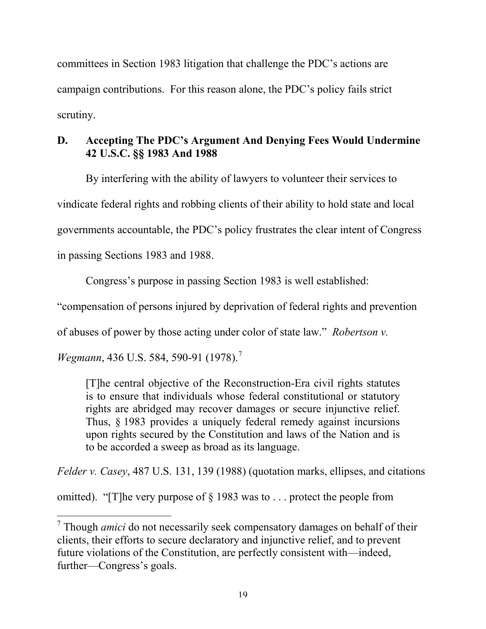committees in Section 1983 litigation that challenge the PDC's actions are campaign contributions. For this reason alone, the PDC's policy fails strict scrutiny.

# **D. Accepting The PDC's Argument And Denying Fees Would Undermine 42 U.S.C. §§ 1983 And 1988**

By interfering with the ability of lawyers to volunteer their services to vindicate federal rights and robbing clients of their ability to hold state and local governments accountable, the PDC's policy frustrates the clear intent of Congress in passing Sections 1983 and 1988.

Congress's purpose in passing Section 1983 is well established:

"compensation of persons injured by deprivation of federal rights and prevention

of abuses of power by those acting under color of state law." *Robertson v.* 

*Wegmann*, 436 U.S. 584, 590-91 (1978).<sup>7</sup>

 $\overline{a}$ 

[T]he central objective of the Reconstruction-Era civil rights statutes is to ensure that individuals whose federal constitutional or statutory rights are abridged may recover damages or secure injunctive relief. Thus, § 1983 provides a uniquely federal remedy against incursions upon rights secured by the Constitution and laws of the Nation and is to be accorded a sweep as broad as its language.

*Felder v. Casey*, 487 U.S. 131, 139 (1988) (quotation marks, ellipses, and citations

omitted). "[T]he very purpose of § 1983 was to . . . protect the people from

<sup>7</sup> Though *amici* do not necessarily seek compensatory damages on behalf of their clients, their efforts to secure declaratory and injunctive relief, and to prevent future violations of the Constitution, are perfectly consistent with—indeed, further—Congress's goals.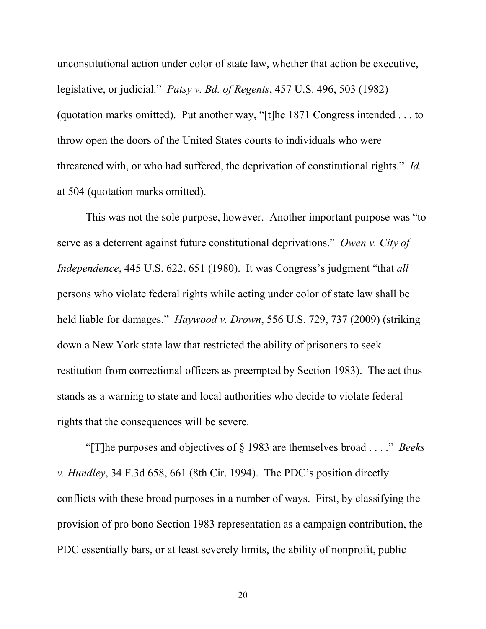unconstitutional action under color of state law, whether that action be executive, legislative, or judicial." *Patsy v. Bd. of Regents*, 457 U.S. 496, 503 (1982) (quotation marks omitted). Put another way, "[t]he 1871 Congress intended . . . to throw open the doors of the United States courts to individuals who were threatened with, or who had suffered, the deprivation of constitutional rights." *Id.* at 504 (quotation marks omitted).

This was not the sole purpose, however. Another important purpose was "to serve as a deterrent against future constitutional deprivations." *Owen v. City of Independence*, 445 U.S. 622, 651 (1980). It was Congress's judgment "that *all*  persons who violate federal rights while acting under color of state law shall be held liable for damages." *Haywood v. Drown*, 556 U.S. 729, 737 (2009) (striking down a New York state law that restricted the ability of prisoners to seek restitution from correctional officers as preempted by Section 1983). The act thus stands as a warning to state and local authorities who decide to violate federal rights that the consequences will be severe.

"[T]he purposes and objectives of § 1983 are themselves broad . . . ." *Beeks v. Hundley*, 34 F.3d 658, 661 (8th Cir. 1994). The PDC's position directly conflicts with these broad purposes in a number of ways. First, by classifying the provision of pro bono Section 1983 representation as a campaign contribution, the PDC essentially bars, or at least severely limits, the ability of nonprofit, public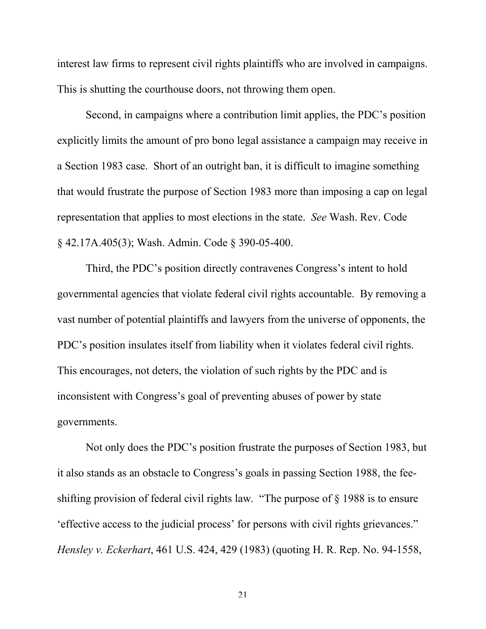interest law firms to represent civil rights plaintiffs who are involved in campaigns. This is shutting the courthouse doors, not throwing them open.

Second, in campaigns where a contribution limit applies, the PDC's position explicitly limits the amount of pro bono legal assistance a campaign may receive in a Section 1983 case. Short of an outright ban, it is difficult to imagine something that would frustrate the purpose of Section 1983 more than imposing a cap on legal representation that applies to most elections in the state. *See* Wash. Rev. Code § 42.17A.405(3); Wash. Admin. Code § 390-05-400.

Third, the PDC's position directly contravenes Congress's intent to hold governmental agencies that violate federal civil rights accountable. By removing a vast number of potential plaintiffs and lawyers from the universe of opponents, the PDC's position insulates itself from liability when it violates federal civil rights. This encourages, not deters, the violation of such rights by the PDC and is inconsistent with Congress's goal of preventing abuses of power by state governments.

Not only does the PDC's position frustrate the purposes of Section 1983, but it also stands as an obstacle to Congress's goals in passing Section 1988, the feeshifting provision of federal civil rights law. "The purpose of § 1988 is to ensure 'effective access to the judicial process' for persons with civil rights grievances." *Hensley v. Eckerhart*, 461 U.S. 424, 429 (1983) (quoting H. R. Rep. No. 94-1558,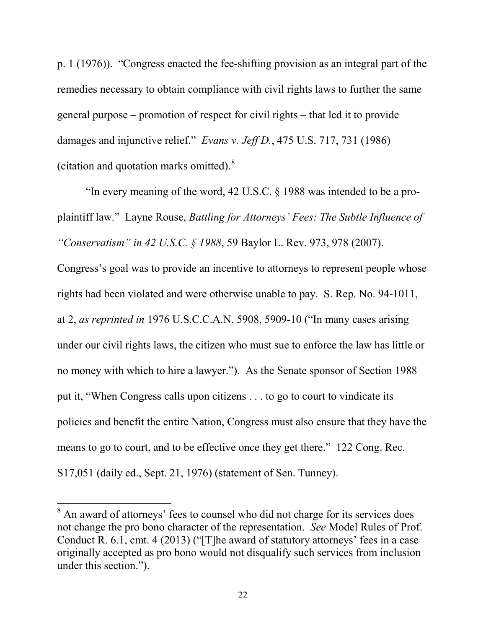p. 1 (1976)). "Congress enacted the fee-shifting provision as an integral part of the remedies necessary to obtain compliance with civil rights laws to further the same general purpose – promotion of respect for civil rights – that led it to provide damages and injunctive relief." *Evans v. Jeff D.*, 475 U.S. 717, 731 (1986) (citation and quotation marks omitted).<sup>8</sup>

"In every meaning of the word, 42 U.S.C. § 1988 was intended to be a proplaintiff law." Layne Rouse, *Battling for Attorneys' Fees: The Subtle Influence of "Conservatism" in 42 U.S.C. § 1988*, 59 Baylor L. Rev. 973, 978 (2007).

Congress's goal was to provide an incentive to attorneys to represent people whose rights had been violated and were otherwise unable to pay. S. Rep. No. 94-1011, at 2, *as reprinted in* 1976 U.S.C.C.A.N. 5908, 5909-10 ("In many cases arising under our civil rights laws, the citizen who must sue to enforce the law has little or no money with which to hire a lawyer."). As the Senate sponsor of Section 1988 put it, "When Congress calls upon citizens . . . to go to court to vindicate its policies and benefit the entire Nation, Congress must also ensure that they have the means to go to court, and to be effective once they get there." 122 Cong. Rec. S17,051 (daily ed., Sept. 21, 1976) (statement of Sen. Tunney).

<sup>&</sup>lt;sup>8</sup> An award of attorneys' fees to counsel who did not charge for its services does not change the pro bono character of the representation. *See* Model Rules of Prof. Conduct R. 6.1, cmt. 4 (2013) ("[T]he award of statutory attorneys' fees in a case originally accepted as pro bono would not disqualify such services from inclusion under this section.").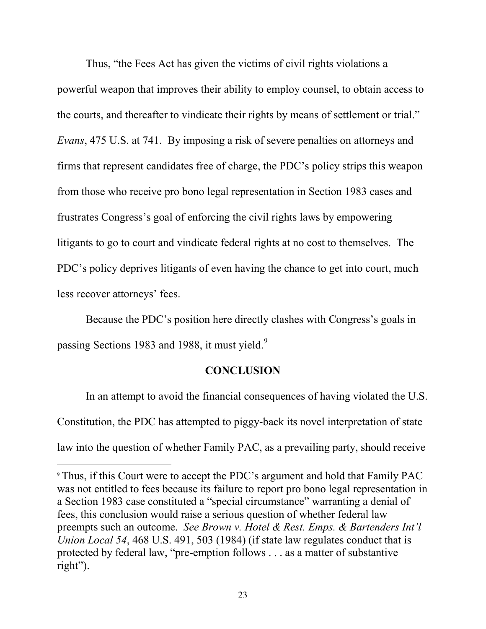Thus, "the Fees Act has given the victims of civil rights violations a powerful weapon that improves their ability to employ counsel, to obtain access to the courts, and thereafter to vindicate their rights by means of settlement or trial." *Evans*, 475 U.S. at 741. By imposing a risk of severe penalties on attorneys and firms that represent candidates free of charge, the PDC's policy strips this weapon from those who receive pro bono legal representation in Section 1983 cases and frustrates Congress's goal of enforcing the civil rights laws by empowering litigants to go to court and vindicate federal rights at no cost to themselves. The PDC's policy deprives litigants of even having the chance to get into court, much less recover attorneys' fees.

Because the PDC's position here directly clashes with Congress's goals in passing Sections 1983 and 1988, it must yield.<sup>9</sup>

#### **CONCLUSION**

In an attempt to avoid the financial consequences of having violated the U.S. Constitution, the PDC has attempted to piggy-back its novel interpretation of state law into the question of whether Family PAC, as a prevailing party, should receive

<sup>9</sup> Thus, if this Court were to accept the PDC's argument and hold that Family PAC was not entitled to fees because its failure to report pro bono legal representation in a Section 1983 case constituted a "special circumstance" warranting a denial of fees, this conclusion would raise a serious question of whether federal law preempts such an outcome. *See Brown v. Hotel & Rest. Emps. & Bartenders Int'l Union Local 54*, 468 U.S. 491, 503 (1984) (if state law regulates conduct that is protected by federal law, "pre-emption follows . . . as a matter of substantive right").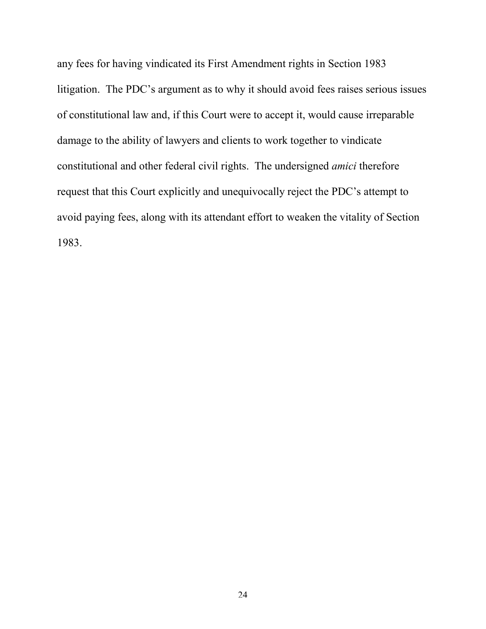any fees for having vindicated its First Amendment rights in Section 1983 litigation. The PDC's argument as to why it should avoid fees raises serious issues of constitutional law and, if this Court were to accept it, would cause irreparable damage to the ability of lawyers and clients to work together to vindicate constitutional and other federal civil rights. The undersigned *amici* therefore request that this Court explicitly and unequivocally reject the PDC's attempt to avoid paying fees, along with its attendant effort to weaken the vitality of Section 1983.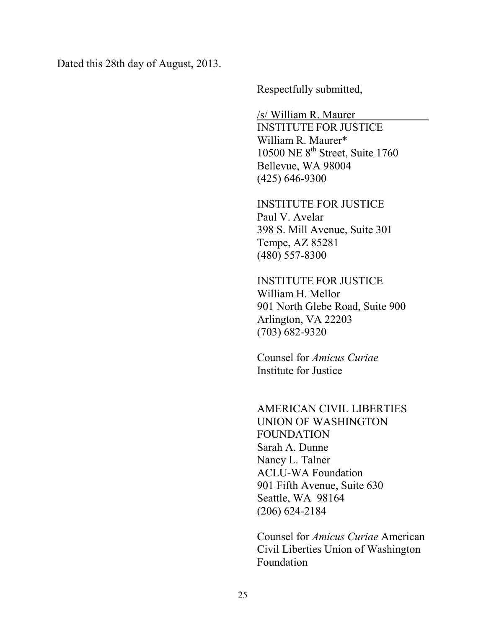Dated this 28th day of August, 2013.

Respectfully submitted,

/s/ William R. Maurer

INSTITUTE FOR JUSTICE William R. Maurer\* 10500 NE  $8<sup>th</sup>$  Street, Suite 1760 Bellevue, WA 98004 (425) 646-9300

INSTITUTE FOR JUSTICE Paul V. Avelar 398 S. Mill Avenue, Suite 301 Tempe, AZ 85281 (480) 557-8300

INSTITUTE FOR JUSTICE William H. Mellor 901 North Glebe Road, Suite 900 Arlington, VA 22203 (703) 682-9320

Counsel for *Amicus Curiae* Institute for Justice

## AMERICAN CIVIL LIBERTIES UNION OF WASHINGTON FOUNDATION Sarah A. Dunne Nancy L. Talner ACLU-WA Foundation 901 Fifth Avenue, Suite 630 Seattle, WA 98164 (206) 624-2184

Counsel for *Amicus Curiae* American Civil Liberties Union of Washington Foundation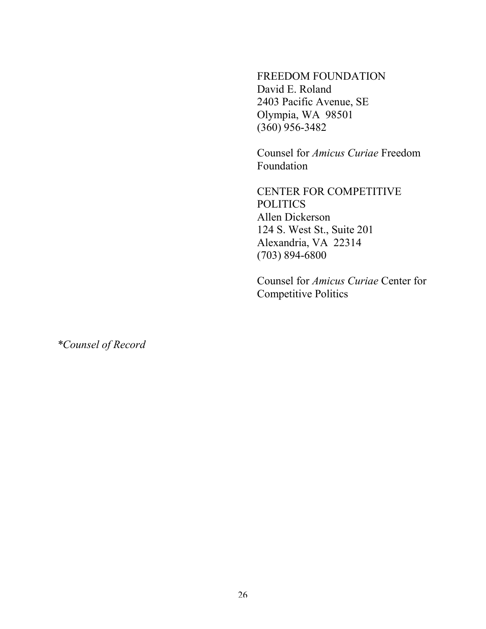FREEDOM FOUNDATION David E. Roland 2403 Pacific Avenue, SE Olympia, WA 98501 (360) 956-3482

Counsel for *Amicus Curiae* Freedom Foundation

CENTER FOR COMPETITIVE POLITICS Allen Dickerson 124 S. West St., Suite 201 Alexandria, VA 22314 (703) 894-6800

Counsel for *Amicus Curiae* Center for Competitive Politics

*\*Counsel of Record*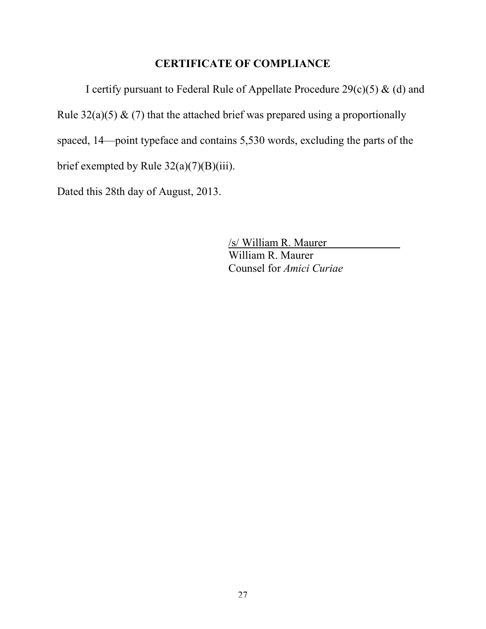# **CERTIFICATE OF COMPLIANCE**

I certify pursuant to Federal Rule of Appellate Procedure  $29(c)(5)$  & (d) and Rule  $32(a)(5)$  & (7) that the attached brief was prepared using a proportionally spaced, 14—point typeface and contains 5,530 words, excluding the parts of the brief exempted by Rule 32(a)(7)(B)(iii).

Dated this 28th day of August, 2013.

/s/ William R. Maurer William R. Maurer Counsel for *Amici Curiae*